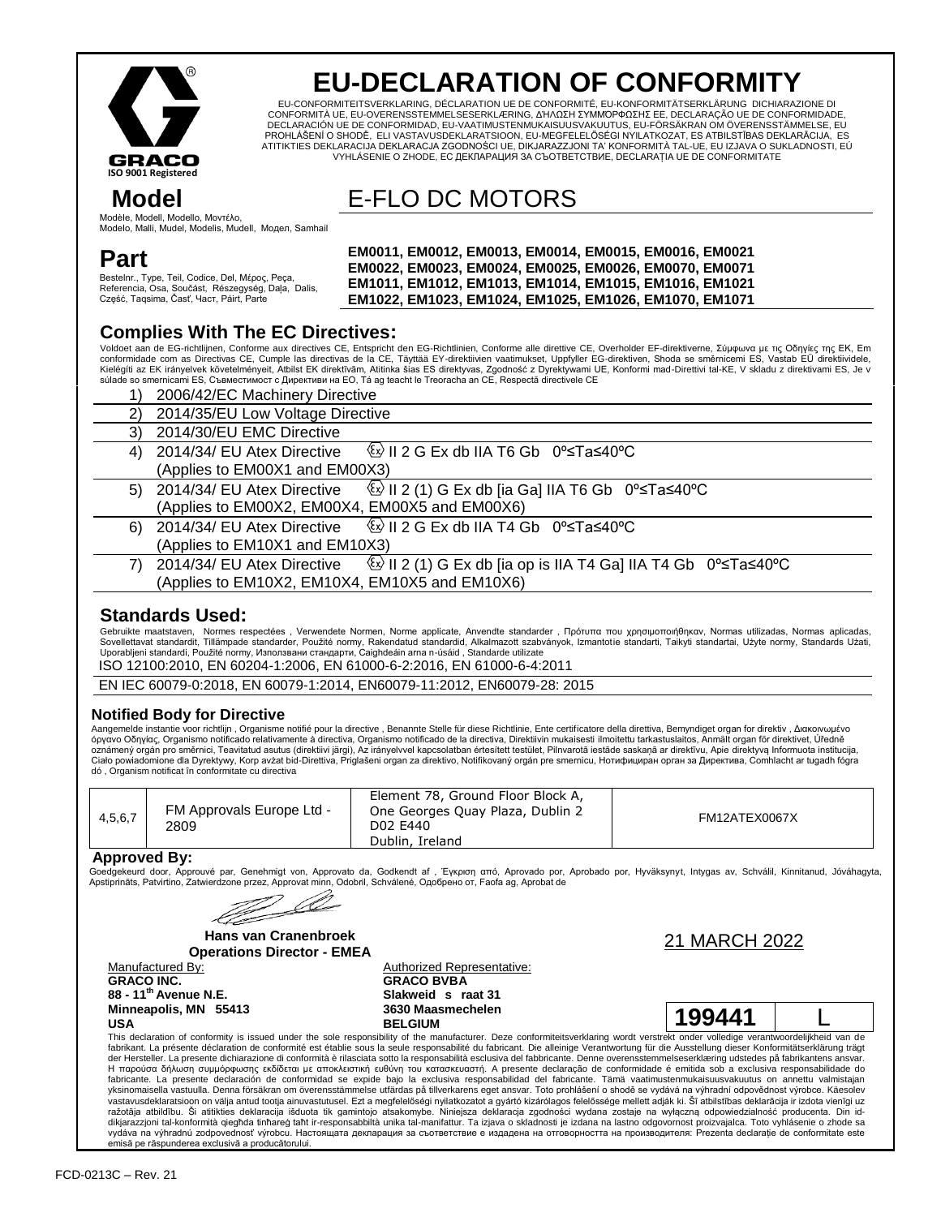

 **Model**

**Part**

# **EU-DECLARATION OF CONFORMITY**

EU-CONFORMITEITSVERKLARING, DÉCLARATION UE DE CONFORMITÉ, EU-KONFORMITÄTSERKLÄRUNG DICHIARAZIONE DI CONFORMITÀ UE, EU-OVERENSSTEMMELSESERKLÆRING, ΔΉΛΩΣΗ ΣΥΜΜΌΡΦΩΣΗΣ ΕΕ, DECLARAÇÃO UE DE CONFORMIDADE, DECLARACIÓN UE DE CONFORMIDAD, EU-VAATIMUSTENMUKAISUUSVAKUUTUS, EU-FÖRSÄKRAN OM ÖVERENSSTÄMMELSE, EU PROHLÁŠENÍ O SHODĚ, ELI VASTAVUSDEKLARATSIOON, EU-MEGFELELŐSÉGI NYILATKOZAT, ES ATBILSTĪBAS DEKLARĀCIJA, ES ATITIKTIES DEKLARACIJA DEKLARACJA ZGODNOŚCI UE, DIKJARAZZJONI TA' KONFORMITÀ TAL-UE, EU IZJAVA O SUKLADNOSTI, EÚ VYHLÁSENIE O ZHODE, ЕС ДЕКЛАРАЦИЯ ЗА СЪОТВЕТСТВИЕ, DECLARAȚIA UE DE CONFORMITATE

E-FLO DC MOTORS

Modèle, Modell, Modello, Μοντέλο, Modelo, Malli, Mudel, Modelis, Mudell, Модел, Samhail

**EM0011, EM0012, EM0013, EM0014, EM0015, EM0016, EM0021 EM0022, EM0023, EM0024, EM0025, EM0026, EM0070, EM0071 EM1011, EM1012, EM1013, EM1014, EM1015, EM1016, EM1021 EM1022, EM1023, EM1024, EM1025, EM1026, EM1070, EM1071**

## **Complies With The EC Directives:**

Bestelnr., Type, Teil, Codice, Del, Μέρος, Peça, Referencia, Osa, Součást, Részegység, Daļa, Dalis,

Część, Taqsima, Časť, Част, Páirt, Parte

Voldoet aan de EG-richtlijnen, Conforme aux directives CE, Entspricht den EG-Richtlinien, Conforme alle direttive CE, Overholder EF-direktiverne, Σύμφωνα με τις Οδηγίες της ΕΚ, Em conformidade com as Directivas CE, Cumple las directivas de la CE, Täyttää EY-direktiiven vaatimukset, Uppfyller EG-direktiven, Shoda se směrnicemi ES, Vastab EÜ direktiividele,<br>Kielégíti az EK irányelvek követelményeit, A súlade so smernicami ES, Съвместимост с Директиви на ЕО, Tá ag teacht le Treoracha an CE, Respectă directivele CE

|    | 2006/42/EC Machinery Directive                 |                                                                                                                         |  |  |  |
|----|------------------------------------------------|-------------------------------------------------------------------------------------------------------------------------|--|--|--|
| 2) | 2014/35/EU Low Voltage Directive               |                                                                                                                         |  |  |  |
| 3) | 2014/30/EU EMC Directive                       |                                                                                                                         |  |  |  |
| 4) | 2014/34/ EU Atex Directive                     | $\circ$ II 2 G Ex db IIA T6 Gb 0° ≤ Ta ≤ 40° C                                                                          |  |  |  |
|    | (Applies to EM00X1 and EM00X3)                 |                                                                                                                         |  |  |  |
| 5) | 2014/34/ EU Atex Directive                     | $\frac{\langle x \rangle}{\langle x \rangle}$ II 2 (1) G Ex db [ia Ga] IIA T6 Gb 0°≤Ta≤40°C                             |  |  |  |
|    | (Applies to EM00X2, EM00X4, EM00X5 and EM00X6) |                                                                                                                         |  |  |  |
| 6) | 2014/34/ EU Atex Directive                     | $\&$ II 2 G Ex db IIA T4 Gb 0°≤Ta≤40°C                                                                                  |  |  |  |
|    | (Applies to EM10X1 and EM10X3)                 |                                                                                                                         |  |  |  |
| 7) | 2014/34/ EU Atex Directive                     | $\frac{\langle x \rangle}{\langle y \rangle}$ II 2 (1) G Ex db [ia op is IIA T4 Ga] IIA T4 Gb 0° $\leq$ Ta $\leq$ 40° C |  |  |  |
|    | (Applies to EM10X2, EM10X4, EM10X5 and EM10X6) |                                                                                                                         |  |  |  |
|    |                                                |                                                                                                                         |  |  |  |

### **Standards Used:**

Gebruikte maatstaven, Normes respectées , Verwendete Normen, Norme applicate, Anvendte standarder , Πρότυπα που χρησιμοποιήθηκαν, Normas utilizadas, Normas aplicadas,<br>Sovellettavat standardit, Tillämpade standarder, Použ

ISO 12100:2010, EN 60204-1:2006, EN 61000-6-2:2016, EN 61000-6-4:2011

### **Notified Body for Directive**

Aangemelde instantie voor richtlijn , Organisme notifié pour la directive , Benannte Stelle für diese Richtlinie, Ente certificatore della direttiva, Bemyndiget organ for direktiv , Διακοινωμένο όργανο Οδηγίας, Organismo notificado relativamente à directiva, Organismo notificado de la directiva, Direktiivin mukaisesti ilmoitettu tarkastuslaitos, Anmält organ för direktivet, Üředně<br>oznámený orgán pro směrnici, Tea Ciało powiadomione dla Dyrektywy, Korp avżat bid-Direttiva, Priglašeni organ za direktivo, Notifikovaný orgán pre smernicu, Нотифициран орган за Директива, Comhlacht ar tugadh fógra<br>dó , Organism notificat în conformitate

| 4,5,6,7 | FM Approvals Europe Ltd -<br>2809 | Element 78, Ground Floor Block A,<br>One Georges Quay Plaza, Dublin 2<br>D02 E440 | FM12ATEX0067X |
|---------|-----------------------------------|-----------------------------------------------------------------------------------|---------------|
|         |                                   | Dublin, Ireland                                                                   |               |

### **Approved By:**

ekeurd door, Approuvé par, Genehmigt von, Approvato da, Godkendt af , Έγκριση από, Aprovado por, Aprobado por, Hyväksynyt, Intygas av, Schválil, Kinnitanud, Jóváhagyta, Apstiprināts, Patvirtino, Zatwierdzone przez, Approvat minn, Odobril, Schválené, Одобрено от, Faofa ag, Aprobat de

 $\mathbb{Z}^2$ 

**Hans van Cranenbroek Primary School Charles Concrete Concrete Concrete Concrete Concrete Concrete Concrete Concrete Concrete Concrete<br>
Concrete Director - EMEA** 

**GRACO INC. 88 - 11th Avenue N.E. Minneapolis, MN 55413 USA**

Manufactured By: Manufactured By: Authorized Representative: **GRACO BVBA Slakweid s raat 31 3630 Maasmechelen** 3630 Maasmechelen<br>RELGIUM **199441** 



This declaration of conformity is issued under the sole responsibility of the manufacturer. Deze conformiteitsverklaring wordt verstrekt onder volledige verantwoordelijkheid van de fabrikant. La présente déclaration de conformité est établie sous la seule responsabilité du fabricant. Die alleinige Verantwortung für die Ausstellung dieser Konformitätserklärung trägt der Hersteller. La presente dichiarazione di conformità è rilasciata sotto la responsabilità esclusiva del fabbricante. Denne overensstemmelseserklæring udstedes på fabrikantens ansvar. Η παρούσα δήλωση συμμόρφωσης εκδίδεται με αποκλειστική ευθύνη του κατασκευαστή. A presente declaração de conformidade é emitida sob a exclusiva responsabilidade do<br>fabricante. La presente declaración de conformidad se exp yksinomaisella vastuulla. Denna försäkran om överensstämmelse utfärdas på tillverkarens eget ansvar. Toto prohlášení o shodě se vydává na výhradní odpovědnost výrobce. Käesolev<br>vastavusdeklaratsioon on välja antud tootja a ražotāja atbildību. Ši atitikties deklaracija išduota tik gamintojo atsakomybe. Niniejsza deklaracja zgodności wydana zostaje na wyłączną odpowiedzialność producenta. Din iddikjarazzjoni tal-konformità qiegħda tinħareġ taħt ir-responsabbiltà unika tal-manifattur. Ta izjava o skladnosti je izdana na lastno odgovornost proizvajalca. Toto vyhlásenie o zhode sa vydáva na výhradnú zodpovednosť výrobcu. Настоящата декларация за съответствие е издадена на отговорността на производителя: Prezenta declarație de conformitate este emisă pe răspunderea exclusivă a producătorului.